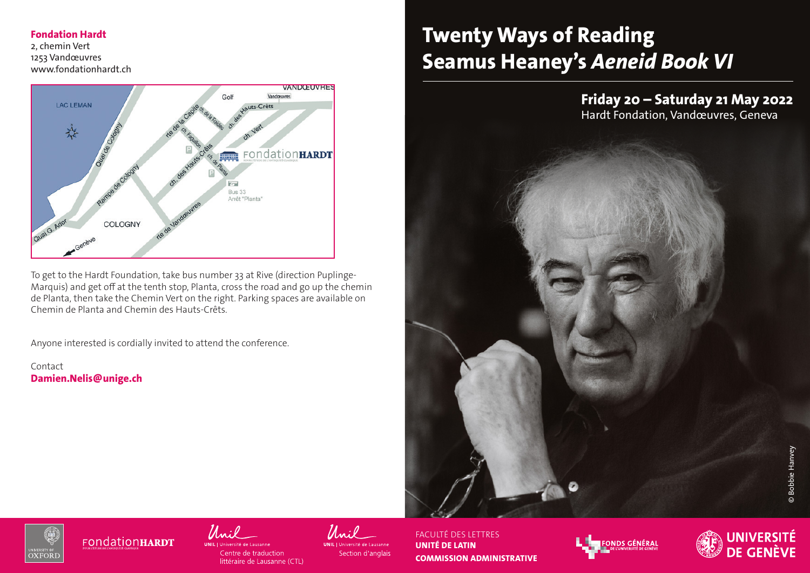#### **Fondation Hardt**

2, chemin Vert 1253 Vandœuvres www.fondationhardt.ch



To get to the Hardt Foundation, take bus number 33 at Rive (direction Puplinge-Marquis) and get off at the tenth stop, Planta, cross the road and go up the chemin de Planta, then take the Chemin Vert on the right. Parking spaces are available on Chemin de Planta and Chemin des Hauts-Crêts.

Anyone interested is cordially invited to attend the conference.

Contact **Damien.Nelis@unige.ch**

# **Twenty Ways of Reading Seamus Heaney's** *Aeneid Book VI*





**FONdationHARDT** 



Section d'anglais

FACULTÉ DES LETTRES **UNITÉ DE LATIN COMMISSION ADMINISTRATIVE**